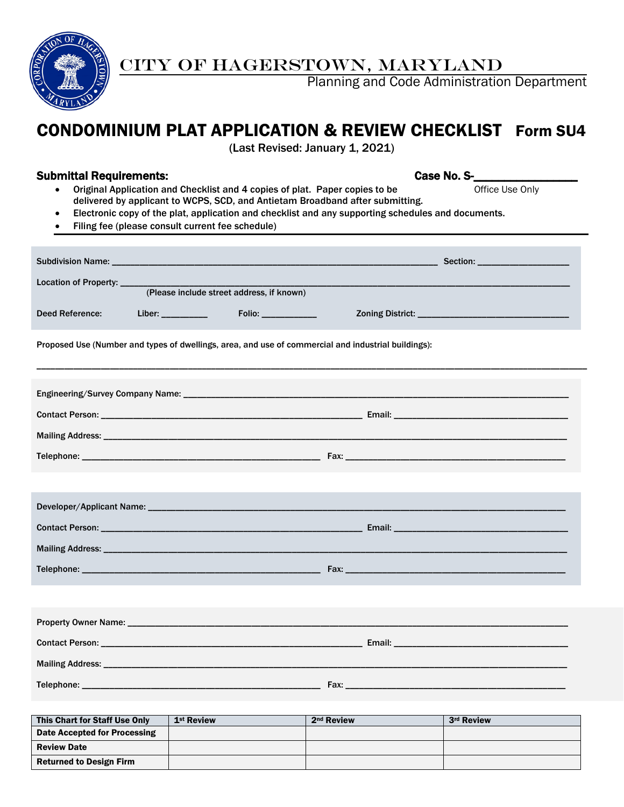

CITY OF HAGERSTOWN, MARYLAND

Planning and Code Administration Department

# CONDOMINIUM PLAT APPLICATION & REVIEW CHECKLIST Form SU4

(Last Revised: January 1, 2021)

#### Submittal Requirements: Case No. S-

- Original Application and Checklist and 4 copies of plat. Paper copies to be Office Use Only delivered by applicant to WCPS, SCD, and Antietam Broadband after submitting.
- Electronic copy of the plat, application and checklist and any supporting schedules and documents.
- Filing fee (please consult current fee schedule)

| Location of Property: ____<br>(Please include street address, if known)                                                                                                                                                                                                                             |                                                                                                     |  |  |  |  |  |
|-----------------------------------------------------------------------------------------------------------------------------------------------------------------------------------------------------------------------------------------------------------------------------------------------------|-----------------------------------------------------------------------------------------------------|--|--|--|--|--|
|                                                                                                                                                                                                                                                                                                     |                                                                                                     |  |  |  |  |  |
| Deed Reference:                                                                                                                                                                                                                                                                                     | Liber: __________                                                                                   |  |  |  |  |  |
|                                                                                                                                                                                                                                                                                                     | Proposed Use (Number and types of dwellings, area, and use of commercial and industrial buildings): |  |  |  |  |  |
|                                                                                                                                                                                                                                                                                                     |                                                                                                     |  |  |  |  |  |
|                                                                                                                                                                                                                                                                                                     |                                                                                                     |  |  |  |  |  |
|                                                                                                                                                                                                                                                                                                     |                                                                                                     |  |  |  |  |  |
|                                                                                                                                                                                                                                                                                                     |                                                                                                     |  |  |  |  |  |
|                                                                                                                                                                                                                                                                                                     |                                                                                                     |  |  |  |  |  |
|                                                                                                                                                                                                                                                                                                     |                                                                                                     |  |  |  |  |  |
|                                                                                                                                                                                                                                                                                                     |                                                                                                     |  |  |  |  |  |
|                                                                                                                                                                                                                                                                                                     |                                                                                                     |  |  |  |  |  |
|                                                                                                                                                                                                                                                                                                     |                                                                                                     |  |  |  |  |  |
|                                                                                                                                                                                                                                                                                                     |                                                                                                     |  |  |  |  |  |
|                                                                                                                                                                                                                                                                                                     |                                                                                                     |  |  |  |  |  |
|                                                                                                                                                                                                                                                                                                     |                                                                                                     |  |  |  |  |  |
|                                                                                                                                                                                                                                                                                                     |                                                                                                     |  |  |  |  |  |
|                                                                                                                                                                                                                                                                                                     |                                                                                                     |  |  |  |  |  |
| $\mathbf{F}^{(1)}$ , $\mathbf{A}^{(1)}$ , $\mathbf{A}^{(2)}$ , $\mathbf{A}^{(3)}$ , $\mathbf{A}^{(4)}$ , $\mathbf{A}^{(5)}$ , $\mathbf{A}^{(6)}$ , $\mathbf{A}^{(7)}$ , $\mathbf{A}^{(8)}$ , $\mathbf{A}^{(8)}$ , $\mathbf{A}^{(8)}$ , $\mathbf{A}^{(8)}$ , $\mathbf{A}^{(8)}$ , $\mathbf{A}^{(8)}$ |                                                                                                     |  |  |  |  |  |

| This Chart for Staff Use Only  | 1 <sup>st</sup> Review | 2 <sup>nd</sup> Review | 3rd Review |
|--------------------------------|------------------------|------------------------|------------|
| Date Accepted for Processing   |                        |                        |            |
| <b>Review Date</b>             |                        |                        |            |
| <b>Returned to Design Firm</b> |                        |                        |            |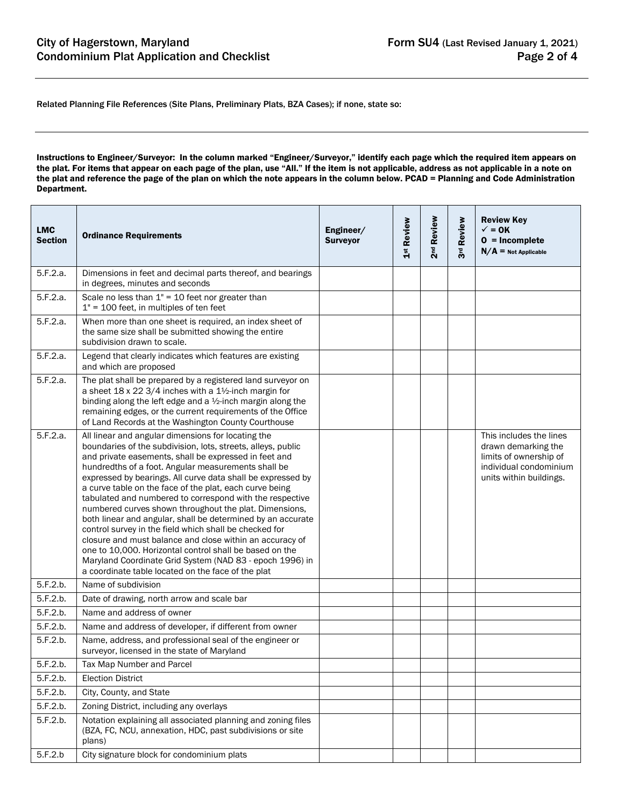Related Planning File References (Site Plans, Preliminary Plats, BZA Cases); if none, state so:

Instructions to Engineer/Surveyor: In the column marked "Engineer/Surveyor," identify each page which the required item appears on the plat. For items that appear on each page of the plan, use "All." If the item is not applicable, address as not applicable in a note on the plat and reference the page of the plan on which the note appears in the column below. PCAD = Planning and Code Administration Department.

| <b>LMC</b><br><b>Section</b> | <b>Ordinance Requirements</b>                                                                                                                                                                                                                                                                                                                                                                                                                                                                                                                                                                                                                                                                                                                                                                                                                        | Engineer/<br><b>Surveyor</b> | 1st Review | Review<br>2 <sup>nd</sup> | 3rd Review | <b>Review Key</b><br>$\checkmark$ = 0K<br>$0 = Incomplete$<br>$N/A$ = Not Applicable                                          |
|------------------------------|------------------------------------------------------------------------------------------------------------------------------------------------------------------------------------------------------------------------------------------------------------------------------------------------------------------------------------------------------------------------------------------------------------------------------------------------------------------------------------------------------------------------------------------------------------------------------------------------------------------------------------------------------------------------------------------------------------------------------------------------------------------------------------------------------------------------------------------------------|------------------------------|------------|---------------------------|------------|-------------------------------------------------------------------------------------------------------------------------------|
| 5.F.2.a.                     | Dimensions in feet and decimal parts thereof, and bearings<br>in degrees, minutes and seconds                                                                                                                                                                                                                                                                                                                                                                                                                                                                                                                                                                                                                                                                                                                                                        |                              |            |                           |            |                                                                                                                               |
| 5.F.2.a.                     | Scale no less than $1" = 10$ feet nor greater than<br>$1" = 100$ feet, in multiples of ten feet                                                                                                                                                                                                                                                                                                                                                                                                                                                                                                                                                                                                                                                                                                                                                      |                              |            |                           |            |                                                                                                                               |
| 5.F.2.a.                     | When more than one sheet is required, an index sheet of<br>the same size shall be submitted showing the entire<br>subdivision drawn to scale.                                                                                                                                                                                                                                                                                                                                                                                                                                                                                                                                                                                                                                                                                                        |                              |            |                           |            |                                                                                                                               |
| 5.F.2.a.                     | Legend that clearly indicates which features are existing<br>and which are proposed                                                                                                                                                                                                                                                                                                                                                                                                                                                                                                                                                                                                                                                                                                                                                                  |                              |            |                           |            |                                                                                                                               |
| 5.F.2.a.                     | The plat shall be prepared by a registered land surveyor on<br>a sheet $18 \times 22 \frac{3}{4}$ inches with a $1\frac{1}{2}$ -inch margin for<br>binding along the left edge and a 1/2-inch margin along the<br>remaining edges, or the current requirements of the Office<br>of Land Records at the Washington County Courthouse                                                                                                                                                                                                                                                                                                                                                                                                                                                                                                                  |                              |            |                           |            |                                                                                                                               |
| 5.F.2.a.                     | All linear and angular dimensions for locating the<br>boundaries of the subdivision, lots, streets, alleys, public<br>and private easements, shall be expressed in feet and<br>hundredths of a foot. Angular measurements shall be<br>expressed by bearings. All curve data shall be expressed by<br>a curve table on the face of the plat, each curve being<br>tabulated and numbered to correspond with the respective<br>numbered curves shown throughout the plat. Dimensions,<br>both linear and angular, shall be determined by an accurate<br>control survey in the field which shall be checked for<br>closure and must balance and close within an accuracy of<br>one to 10,000. Horizontal control shall be based on the<br>Maryland Coordinate Grid System (NAD 83 - epoch 1996) in<br>a coordinate table located on the face of the plat |                              |            |                           |            | This includes the lines<br>drawn demarking the<br>limits of ownership of<br>individual condominium<br>units within buildings. |
| 5.F.2.b.                     | Name of subdivision                                                                                                                                                                                                                                                                                                                                                                                                                                                                                                                                                                                                                                                                                                                                                                                                                                  |                              |            |                           |            |                                                                                                                               |
| 5.F.2.b.                     | Date of drawing, north arrow and scale bar                                                                                                                                                                                                                                                                                                                                                                                                                                                                                                                                                                                                                                                                                                                                                                                                           |                              |            |                           |            |                                                                                                                               |
| 5.F.2.b.                     | Name and address of owner                                                                                                                                                                                                                                                                                                                                                                                                                                                                                                                                                                                                                                                                                                                                                                                                                            |                              |            |                           |            |                                                                                                                               |
| 5.F.2.b.                     | Name and address of developer, if different from owner                                                                                                                                                                                                                                                                                                                                                                                                                                                                                                                                                                                                                                                                                                                                                                                               |                              |            |                           |            |                                                                                                                               |
| 5.F.2.b.                     | Name, address, and professional seal of the engineer or<br>surveyor, licensed in the state of Maryland                                                                                                                                                                                                                                                                                                                                                                                                                                                                                                                                                                                                                                                                                                                                               |                              |            |                           |            |                                                                                                                               |
| 5.F.2.b.                     | Tax Map Number and Parcel                                                                                                                                                                                                                                                                                                                                                                                                                                                                                                                                                                                                                                                                                                                                                                                                                            |                              |            |                           |            |                                                                                                                               |
| 5.F.2.b.                     | <b>Election District</b>                                                                                                                                                                                                                                                                                                                                                                                                                                                                                                                                                                                                                                                                                                                                                                                                                             |                              |            |                           |            |                                                                                                                               |
| 5.F.2.b.                     | City, County, and State                                                                                                                                                                                                                                                                                                                                                                                                                                                                                                                                                                                                                                                                                                                                                                                                                              |                              |            |                           |            |                                                                                                                               |
| 5.F.2.b.                     | Zoning District, including any overlays                                                                                                                                                                                                                                                                                                                                                                                                                                                                                                                                                                                                                                                                                                                                                                                                              |                              |            |                           |            |                                                                                                                               |
| 5.F.2.b.                     | Notation explaining all associated planning and zoning files<br>(BZA, FC, NCU, annexation, HDC, past subdivisions or site<br>plans)                                                                                                                                                                                                                                                                                                                                                                                                                                                                                                                                                                                                                                                                                                                  |                              |            |                           |            |                                                                                                                               |
| 5.F.2.b                      | City signature block for condominium plats                                                                                                                                                                                                                                                                                                                                                                                                                                                                                                                                                                                                                                                                                                                                                                                                           |                              |            |                           |            |                                                                                                                               |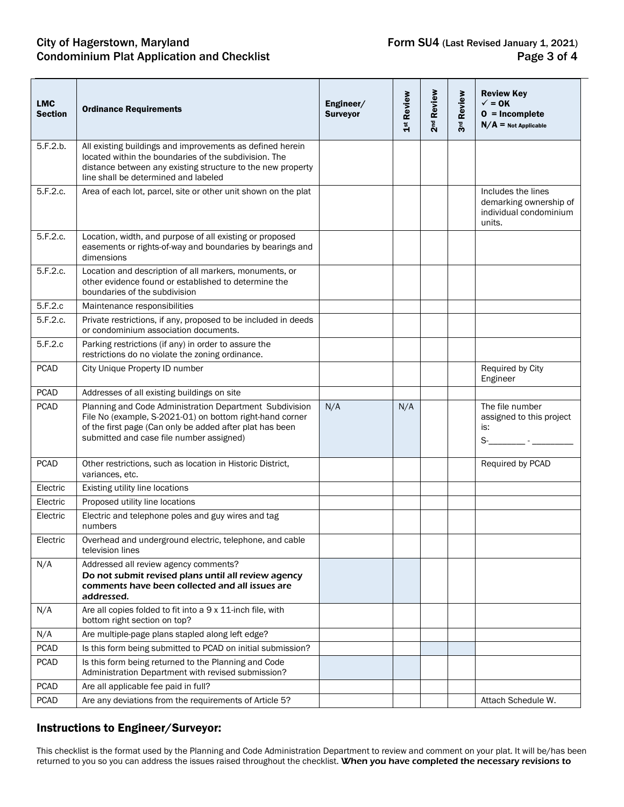## City of Hagerstown, Maryland Checklist Form SU4 (Last Revised January 1, 2021)<br>Condominium Plat Application and Checklist Form SU4 (Last Revised January 1, 2021) Condominium Plat Application and Checklist

| <b>LMC</b><br><b>Section</b> | <b>Ordinance Requirements</b>                                                                                                                                                                                               | Engineer/<br><b>Surveyor</b> | 1st Review | 2 <sup>nd</sup> Review | <b>Review</b><br>ತೆ. | <b>Review Key</b><br>$\checkmark$ = 0K<br>$0 = Incomplete$<br>$N/A$ = Not Applicable |
|------------------------------|-----------------------------------------------------------------------------------------------------------------------------------------------------------------------------------------------------------------------------|------------------------------|------------|------------------------|----------------------|--------------------------------------------------------------------------------------|
| 5.F.2.b.                     | All existing buildings and improvements as defined herein<br>located within the boundaries of the subdivision. The<br>distance between any existing structure to the new property<br>line shall be determined and labeled   |                              |            |                        |                      |                                                                                      |
| 5.F.2.c.                     | Area of each lot, parcel, site or other unit shown on the plat                                                                                                                                                              |                              |            |                        |                      | Includes the lines<br>demarking ownership of<br>individual condominium<br>units.     |
| 5.F.2.c.                     | Location, width, and purpose of all existing or proposed<br>easements or rights-of-way and boundaries by bearings and<br>dimensions                                                                                         |                              |            |                        |                      |                                                                                      |
| 5.F.2.c.                     | Location and description of all markers, monuments, or<br>other evidence found or established to determine the<br>boundaries of the subdivision                                                                             |                              |            |                        |                      |                                                                                      |
| 5.F.2.c                      | Maintenance responsibilities                                                                                                                                                                                                |                              |            |                        |                      |                                                                                      |
| 5.F.2.c.                     | Private restrictions, if any, proposed to be included in deeds<br>or condominium association documents.                                                                                                                     |                              |            |                        |                      |                                                                                      |
| 5.F.2.c                      | Parking restrictions (if any) in order to assure the<br>restrictions do no violate the zoning ordinance.                                                                                                                    |                              |            |                        |                      |                                                                                      |
| <b>PCAD</b>                  | City Unique Property ID number                                                                                                                                                                                              |                              |            |                        |                      | Required by City<br>Engineer                                                         |
| <b>PCAD</b>                  | Addresses of all existing buildings on site                                                                                                                                                                                 |                              |            |                        |                      |                                                                                      |
| <b>PCAD</b>                  | Planning and Code Administration Department Subdivision<br>File No (example, S-2021-01) on bottom right-hand corner<br>of the first page (Can only be added after plat has been<br>submitted and case file number assigned) | N/A                          | N/A        |                        |                      | The file number<br>assigned to this project<br>is:<br>$S$ -_______________ - ______  |
| <b>PCAD</b>                  | Other restrictions, such as location in Historic District,<br>variances, etc.                                                                                                                                               |                              |            |                        |                      | Required by PCAD                                                                     |
| Electric                     | Existing utility line locations                                                                                                                                                                                             |                              |            |                        |                      |                                                                                      |
| Electric                     | Proposed utility line locations                                                                                                                                                                                             |                              |            |                        |                      |                                                                                      |
| Electric                     | Electric and telephone poles and guy wires and tag<br>numbers                                                                                                                                                               |                              |            |                        |                      |                                                                                      |
| Electric                     | Overhead and underground electric, telephone, and cable<br>television lines                                                                                                                                                 |                              |            |                        |                      |                                                                                      |
| N/A                          | Addressed all review agency comments?<br>Do not submit revised plans until all review agency<br>comments have been collected and all issues are<br>addressed.                                                               |                              |            |                        |                      |                                                                                      |
| N/A                          | Are all copies folded to fit into a 9 x 11-inch file, with<br>bottom right section on top?                                                                                                                                  |                              |            |                        |                      |                                                                                      |
| N/A                          | Are multiple-page plans stapled along left edge?                                                                                                                                                                            |                              |            |                        |                      |                                                                                      |
| <b>PCAD</b>                  | Is this form being submitted to PCAD on initial submission?                                                                                                                                                                 |                              |            |                        |                      |                                                                                      |
| <b>PCAD</b>                  | Is this form being returned to the Planning and Code<br>Administration Department with revised submission?                                                                                                                  |                              |            |                        |                      |                                                                                      |
| <b>PCAD</b>                  | Are all applicable fee paid in full?                                                                                                                                                                                        |                              |            |                        |                      |                                                                                      |
| <b>PCAD</b>                  | Are any deviations from the requirements of Article 5?                                                                                                                                                                      |                              |            |                        |                      | Attach Schedule W.                                                                   |

### Instructions to Engineer/Surveyor:

This checklist is the format used by the Planning and Code Administration Department to review and comment on your plat. It will be/has been returned to you so you can address the issues raised throughout the checklist. When you have completed the necessary revisions to